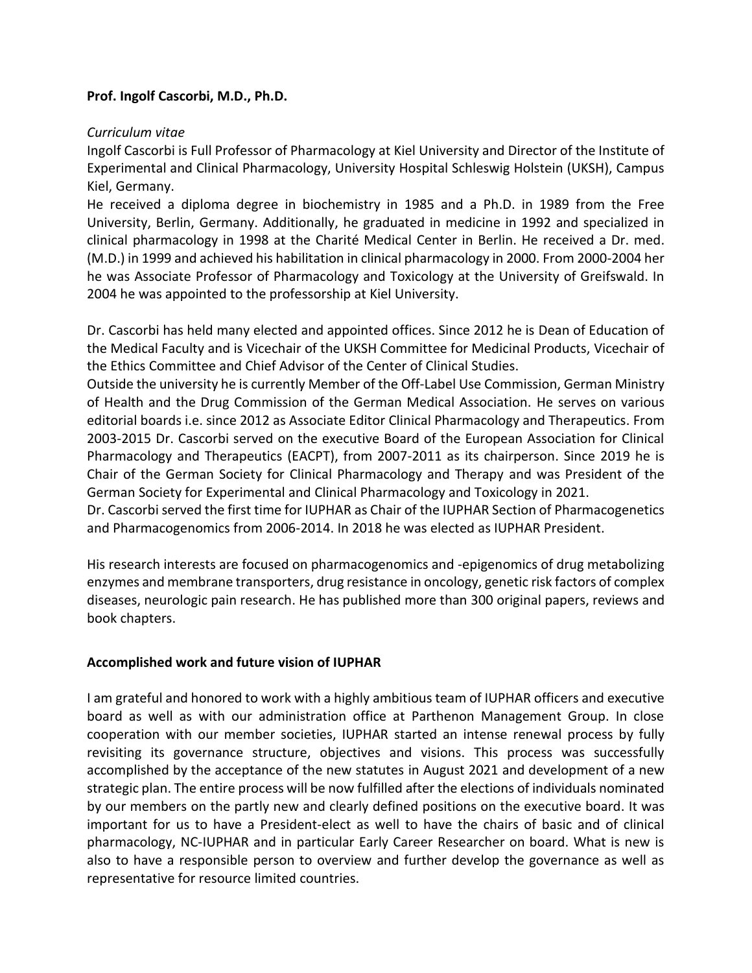## **Prof. Ingolf Cascorbi, M.D., Ph.D.**

## *Curriculum vitae*

Ingolf Cascorbi is Full Professor of Pharmacology at Kiel University and Director of the Institute of Experimental and Clinical Pharmacology, University Hospital Schleswig Holstein (UKSH), Campus Kiel, Germany.

He received a diploma degree in biochemistry in 1985 and a Ph.D. in 1989 from the Free University, Berlin, Germany. Additionally, he graduated in medicine in 1992 and specialized in clinical pharmacology in 1998 at the Charité Medical Center in Berlin. He received a Dr. med. (M.D.) in 1999 and achieved his habilitation in clinical pharmacology in 2000. From 2000-2004 her he was Associate Professor of Pharmacology and Toxicology at the University of Greifswald. In 2004 he was appointed to the professorship at Kiel University.

Dr. Cascorbi has held many elected and appointed offices. Since 2012 he is Dean of Education of the Medical Faculty and is Vicechair of the UKSH Committee for Medicinal Products, Vicechair of the Ethics Committee and Chief Advisor of the Center of Clinical Studies.

Outside the university he is currently Member of the Off-Label Use Commission, German Ministry of Health and the Drug Commission of the German Medical Association. He serves on various editorial boards i.e. since 2012 as Associate Editor Clinical Pharmacology and Therapeutics. From 2003-2015 Dr. Cascorbi served on the executive Board of the European Association for Clinical Pharmacology and Therapeutics (EACPT), from 2007-2011 as its chairperson. Since 2019 he is Chair of the German Society for Clinical Pharmacology and Therapy and was President of the German Society for Experimental and Clinical Pharmacology and Toxicology in 2021.

Dr. Cascorbi served the first time for IUPHAR as Chair of the IUPHAR Section of Pharmacogenetics and Pharmacogenomics from 2006-2014. In 2018 he was elected as IUPHAR President.

His research interests are focused on pharmacogenomics and -epigenomics of drug metabolizing enzymes and membrane transporters, drug resistance in oncology, genetic risk factors of complex diseases, neurologic pain research. He has published more than 300 original papers, reviews and book chapters.

## **Accomplished work and future vision of IUPHAR**

I am grateful and honored to work with a highly ambitious team of IUPHAR officers and executive board as well as with our administration office at Parthenon Management Group. In close cooperation with our member societies, IUPHAR started an intense renewal process by fully revisiting its governance structure, objectives and visions. This process was successfully accomplished by the acceptance of the new statutes in August 2021 and development of a new strategic plan. The entire process will be now fulfilled after the elections of individuals nominated by our members on the partly new and clearly defined positions on the executive board. It was important for us to have a President-elect as well to have the chairs of basic and of clinical pharmacology, NC-IUPHAR and in particular Early Career Researcher on board. What is new is also to have a responsible person to overview and further develop the governance as well as representative for resource limited countries.